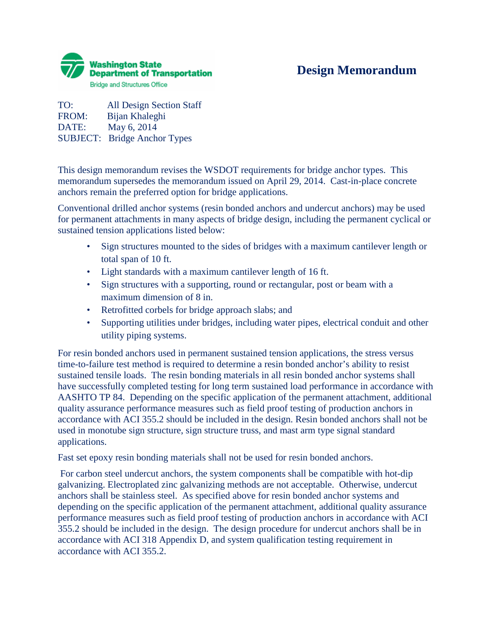

## **Design Memorandum**

TO: All Design Section Staff FROM: Bijan Khaleghi DATE: May 6, 2014 SUBJECT: Bridge Anchor Types

This design memorandum revises the WSDOT requirements for bridge anchor types. This memorandum supersedes the memorandum issued on April 29, 2014. Cast-in-place concrete anchors remain the preferred option for bridge applications.

Conventional drilled anchor systems (resin bonded anchors and undercut anchors) may be used for permanent attachments in many aspects of bridge design, including the permanent cyclical or sustained tension applications listed below:

- Sign structures mounted to the sides of bridges with a maximum cantilever length or total span of 10 ft.
- Light standards with a maximum cantilever length of 16 ft.
- Sign structures with a supporting, round or rectangular, post or beam with a maximum dimension of 8 in.
- Retrofitted corbels for bridge approach slabs; and
- Supporting utilities under bridges, including water pipes, electrical conduit and other utility piping systems.

For resin bonded anchors used in permanent sustained tension applications, the stress versus time-to-failure test method is required to determine a resin bonded anchor's ability to resist sustained tensile loads. The resin bonding materials in all resin bonded anchor systems shall have successfully completed testing for long term sustained load performance in accordance with AASHTO TP 84. Depending on the specific application of the permanent attachment, additional quality assurance performance measures such as field proof testing of production anchors in accordance with ACI 355.2 should be included in the design. Resin bonded anchors shall not be used in monotube sign structure, sign structure truss, and mast arm type signal standard applications.

Fast set epoxy resin bonding materials shall not be used for resin bonded anchors.

For carbon steel undercut anchors, the system components shall be compatible with hot-dip galvanizing. Electroplated zinc galvanizing methods are not acceptable. Otherwise, undercut anchors shall be stainless steel. As specified above for resin bonded anchor systems and depending on the specific application of the permanent attachment, additional quality assurance performance measures such as field proof testing of production anchors in accordance with ACI 355.2 should be included in the design. The design procedure for undercut anchors shall be in accordance with ACI 318 Appendix D, and system qualification testing requirement in accordance with ACI 355.2.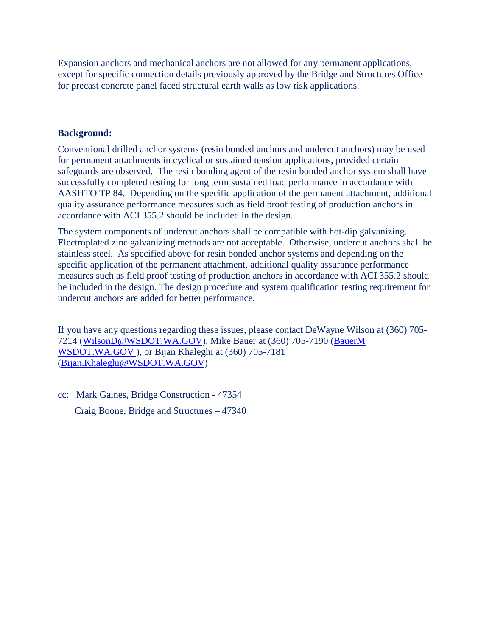Expansion anchors and mechanical anchors are not allowed for any permanent applications, except for specific connection details previously approved by the Bridge and Structures Office for precast concrete panel faced structural earth walls as low risk applications.

## **Background:**

Conventional drilled anchor systems (resin bonded anchors and undercut anchors) may be used for permanent attachments in cyclical or sustained tension applications, provided certain safeguards are observed. The resin bonding agent of the resin bonded anchor system shall have successfully completed testing for long term sustained load performance in accordance with AASHTO TP 84. Depending on the specific application of the permanent attachment, additional quality assurance performance measures such as field proof testing of production anchors in accordance with ACI 355.2 should be included in the design.

The system components of undercut anchors shall be compatible with hot-dip galvanizing. Electroplated zinc galvanizing methods are not acceptable. Otherwise, undercut anchors shall be stainless steel. As specified above for resin bonded anchor systems and depending on the specific application of the permanent attachment, additional quality assurance performance measures such as field proof testing of production anchors in accordance with ACI 355.2 should be included in the design. The design procedure and system qualification testing requirement for undercut anchors are added for better performance.

If you have any questions regarding these issues, please contact DeWayne Wilson at (360) 705- 7214 [\(WilsonD@WSDOT.WA.GOV\)](mailto:ClarkeP@WSDOT.WA.GOV), Mike Bauer at (360) 705-7190 [\(BauerM](mailto:LeeCh@wsdot.wa.gov) [WSDOT.WA.GOV \)](mailto:LeeCh@wsdot.wa.gov), or Bijan Khaleghi at (360) 705-7181 [\(Bijan.Khaleghi@WSDOT.WA.GOV\)](mailto:Bijan.Khaleghi@WSDOT.WA.GOV)

cc: Mark Gaines, Bridge Construction - 47354 Craig Boone, Bridge and Structures – 47340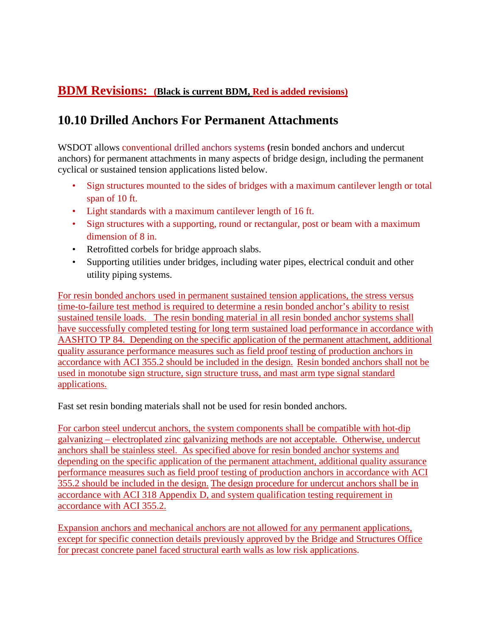## **BDM Revisions: (Black is current BDM, Red is added revisions)**

## **10.10 Drilled Anchors For Permanent Attachments**

WSDOT allows conventional drilled anchors systems **(**resin bonded anchors and undercut anchors) for permanent attachments in many aspects of bridge design, including the permanent cyclical or sustained tension applications listed below.

- Sign structures mounted to the sides of bridges with a maximum cantilever length or total span of 10 ft.
- Light standards with a maximum cantilever length of 16 ft.
- Sign structures with a supporting, round or rectangular, post or beam with a maximum dimension of 8 in.
- Retrofitted corbels for bridge approach slabs.
- Supporting utilities under bridges, including water pipes, electrical conduit and other utility piping systems.

For resin bonded anchors used in permanent sustained tension applications, the stress versus time-to-failure test method is required to determine a resin bonded anchor's ability to resist sustained tensile loads. The resin bonding material in all resin bonded anchor systems shall have successfully completed testing for long term sustained load performance in accordance with AASHTO TP 84. Depending on the specific application of the permanent attachment, additional quality assurance performance measures such as field proof testing of production anchors in accordance with ACI 355.2 should be included in the design. Resin bonded anchors shall not be used in monotube sign structure, sign structure truss, and mast arm type signal standard applications.

Fast set resin bonding materials shall not be used for resin bonded anchors.

For carbon steel undercut anchors, the system components shall be compatible with hot-dip galvanizing – electroplated zinc galvanizing methods are not acceptable. Otherwise, undercut anchors shall be stainless steel. As specified above for resin bonded anchor systems and depending on the specific application of the permanent attachment, additional quality assurance performance measures such as field proof testing of production anchors in accordance with ACI 355.2 should be included in the design. The design procedure for undercut anchors shall be in accordance with ACI 318 Appendix D, and system qualification testing requirement in accordance with ACI 355.2.

Expansion anchors and mechanical anchors are not allowed for any permanent applications, except for specific connection details previously approved by the Bridge and Structures Office for precast concrete panel faced structural earth walls as low risk applications.